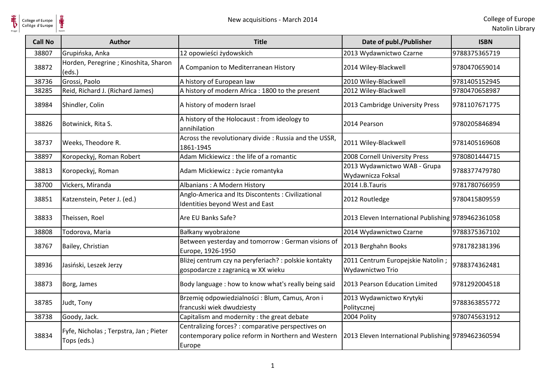

| <b>Call No</b> | <b>Author</b>                                        | <b>Title</b>                                                                                                       | Date of publ./Publisher                               | <b>ISBN</b>   |
|----------------|------------------------------------------------------|--------------------------------------------------------------------------------------------------------------------|-------------------------------------------------------|---------------|
| 38807          | Grupińska, Anka                                      | 12 opowieści żydowskich                                                                                            | 2013 Wydawnictwo Czarne                               | 9788375365719 |
| 38872          | Horden, Peregrine ; Kinoshita, Sharon<br>(eds.)      | A Companion to Mediterranean History                                                                               | 2014 Wiley-Blackwell                                  | 9780470659014 |
| 38736          | Grossi, Paolo                                        | A history of European law                                                                                          | 2010 Wiley-Blackwell                                  | 9781405152945 |
| 38285          | Reid, Richard J. (Richard James)                     | A history of modern Africa : 1800 to the present                                                                   | 2012 Wiley-Blackwell                                  | 9780470658987 |
| 38984          | Shindler, Colin                                      | A history of modern Israel                                                                                         | 2013 Cambridge University Press                       | 9781107671775 |
| 38826          | Botwinick, Rita S.                                   | A history of the Holocaust: from ideology to<br>annihilation                                                       | 2014 Pearson                                          | 9780205846894 |
| 38737          | Weeks, Theodore R.                                   | Across the revolutionary divide : Russia and the USSR,<br>1861-1945                                                | 2011 Wiley-Blackwell                                  | 9781405169608 |
| 38897          | Koropeckyj, Roman Robert                             | Adam Mickiewicz: the life of a romantic                                                                            | 2008 Cornell University Press                         | 9780801444715 |
| 38813          | Koropeckyj, Roman                                    | Adam Mickiewicz: życie romantyka                                                                                   | 2013 Wydawnictwo WAB - Grupa<br>Wydawnicza Foksal     | 9788377479780 |
| 38700          | Vickers, Miranda                                     | Albanians: A Modern History                                                                                        | 2014 I.B.Tauris                                       | 9781780766959 |
| 38851          | Katzenstein, Peter J. (ed.)                          | Anglo-America and Its Discontents : Civilizational<br>Identities beyond West and East                              | 2012 Routledge                                        | 9780415809559 |
| 38833          | Theissen, Roel                                       | Are EU Banks Safe?                                                                                                 | 2013 Eleven International Publishing 9789462361058    |               |
| 38808          | Todorova, Maria                                      | Bałkany wyobrażone                                                                                                 | 2014 Wydawnictwo Czarne                               | 9788375367102 |
| 38767          | Bailey, Christian                                    | Between yesterday and tomorrow : German visions of<br>Europe, 1926-1950                                            | 2013 Berghahn Books                                   | 9781782381396 |
| 38936          | Jasiński, Leszek Jerzy                               | Bliżej centrum czy na peryferiach? : polskie kontakty<br>gospodarcze z zagranicą w XX wieku                        | 2011 Centrum Europejskie Natolin;<br>Wydawnictwo Trio | 9788374362481 |
| 38873          | Borg, James                                          | Body language : how to know what's really being said                                                               | 2013 Pearson Education Limited                        | 9781292004518 |
| 38785          | Judt, Tony                                           | Brzemię odpowiedzialności: Blum, Camus, Aron i<br>francuski wiek dwudziesty                                        | 2013 Wydawnictwo Krytyki<br>Politycznej               | 9788363855772 |
| 38738          | Goody, Jack.                                         | Capitalism and modernity : the great debate                                                                        | 2004 Polity                                           | 9780745631912 |
| 38834          | Fyfe, Nicholas; Terpstra, Jan; Pieter<br>Tops (eds.) | Centralizing forces? : comparative perspectives on<br>contemporary police reform in Northern and Western<br>Europe | 2013 Eleven International Publishing 9789462360594    |               |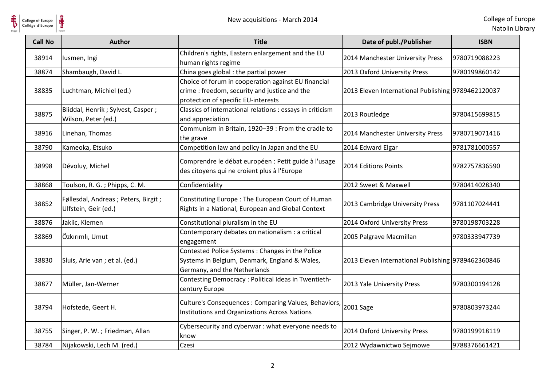

| <b>Call No</b> | <b>Author</b>                                                 | <b>Title</b>                                                                                                                                | Date of publ./Publisher                            | <b>ISBN</b>   |
|----------------|---------------------------------------------------------------|---------------------------------------------------------------------------------------------------------------------------------------------|----------------------------------------------------|---------------|
| 38914          | lusmen, Ingi                                                  | Children's rights, Eastern enlargement and the EU<br>human rights regime                                                                    | 2014 Manchester University Press                   | 9780719088223 |
| 38874          | Shambaugh, David L.                                           | China goes global : the partial power                                                                                                       | 2013 Oxford University Press                       | 9780199860142 |
| 38835          | Luchtman, Michiel (ed.)                                       | Choice of forum in cooperation against EU financial<br>crime : freedom, security and justice and the<br>protection of specific EU-interests | 2013 Eleven International Publishing 9789462120037 |               |
| 38875          | Bliddal, Henrik ; Sylvest, Casper ;<br>Wilson, Peter (ed.)    | Classics of international relations : essays in criticism<br>and appreciation                                                               | 2013 Routledge                                     | 9780415699815 |
| 38916          | Linehan, Thomas                                               | Communism in Britain, 1920-39 : From the cradle to<br>the grave                                                                             | 2014 Manchester University Press                   | 9780719071416 |
| 38790          | Kameoka, Etsuko                                               | Competition law and policy in Japan and the EU                                                                                              | 2014 Edward Elgar                                  | 9781781000557 |
| 38998          | Dévoluy, Michel                                               | Comprendre le débat européen : Petit guide à l'usage<br>des citoyens qui ne croient plus à l'Europe                                         | 2014 Editions Points                               | 9782757836590 |
| 38868          | Toulson, R. G.; Phipps, C. M.                                 | Confidentiality                                                                                                                             | 2012 Sweet & Maxwell                               | 9780414028340 |
| 38852          | Føllesdal, Andreas ; Peters, Birgit ;<br>Ulfstein, Geir (ed.) | Constituting Europe: The European Court of Human<br>Rights in a National, European and Global Context                                       | 2013 Cambridge University Press                    | 9781107024441 |
| 38876          | Jaklic, Klemen                                                | Constitutional pluralism in the EU                                                                                                          | 2014 Oxford University Press                       | 9780198703228 |
| 38869          | Özkırımlı, Umut                                               | Contemporary debates on nationalism : a critical<br>engagement                                                                              | 2005 Palgrave Macmillan                            | 9780333947739 |
| 38830          | Sluis, Arie van ; et al. (ed.)                                | Contested Police Systems: Changes in the Police<br>Systems in Belgium, Denmark, England & Wales,<br>Germany, and the Netherlands            | 2013 Eleven International Publishing 9789462360846 |               |
| 38877          | Müller, Jan-Werner                                            | Contesting Democracy : Political Ideas in Twentieth-<br>century Europe                                                                      | 2013 Yale University Press                         | 9780300194128 |
| 38794          | Hofstede, Geert H.                                            | Culture's Consequences : Comparing Values, Behaviors,<br>Institutions and Organizations Across Nations                                      | 2001 Sage                                          | 9780803973244 |
| 38755          | Singer, P. W.; Friedman, Allan                                | Cybersecurity and cyberwar : what everyone needs to<br>know                                                                                 | 2014 Oxford University Press                       | 9780199918119 |
| 38784          | Nijakowski, Lech M. (red.)                                    | Czesi                                                                                                                                       | 2012 Wydawnictwo Sejmowe                           | 9788376661421 |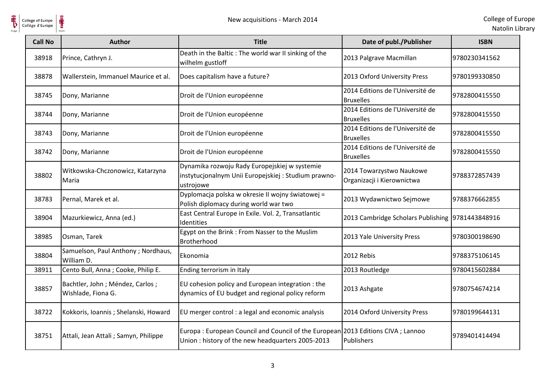

| <b>Call No</b> | <b>Author</b>                                         | <b>Title</b>                                                                                                                        | Date of publ./Publisher                                | <b>ISBN</b>    |
|----------------|-------------------------------------------------------|-------------------------------------------------------------------------------------------------------------------------------------|--------------------------------------------------------|----------------|
| 38918          | Prince, Cathryn J.                                    | Death in the Baltic : The world war II sinking of the<br>wilhelm gustloff                                                           | 2013 Palgrave Macmillan                                | 9780230341562  |
| 38878          | Wallerstein, Immanuel Maurice et al.                  | Does capitalism have a future?                                                                                                      | 2013 Oxford University Press                           | 9780199330850  |
| 38745          | Dony, Marianne                                        | Droit de l'Union européenne                                                                                                         | 2014 Editions de l'Université de<br><b>Bruxelles</b>   | 9782800415550  |
| 38744          | Dony, Marianne                                        | Droit de l'Union européenne                                                                                                         | 2014 Editions de l'Université de<br><b>Bruxelles</b>   | 9782800415550  |
| 38743          | Dony, Marianne                                        | Droit de l'Union européenne                                                                                                         | 2014 Editions de l'Université de<br><b>Bruxelles</b>   | 9782800415550  |
| 38742          | Dony, Marianne                                        | Droit de l'Union européenne                                                                                                         | 2014 Editions de l'Université de<br><b>Bruxelles</b>   | 9782800415550  |
| 38802          | Witkowska-Chczonowicz, Katarzyna<br>Maria             | Dynamika rozwoju Rady Europejskiej w systemie<br>instytucjonalnym Unii Europejskiej: Studium prawno-<br>ustrojowe                   | 2014 Towarzystwo Naukowe<br>Organizacji i Kierownictwa | 9788372857439  |
| 38783          | Pernal, Marek et al.                                  | Dyplomacja polska w okresie II wojny światowej =<br>Polish diplomacy during world war two                                           | 2013 Wydawnictwo Sejmowe                               | 9788376662855  |
| 38904          | Mazurkiewicz, Anna (ed.)                              | East Central Europe in Exile. Vol. 2, Transatlantic<br>Identities                                                                   | 2013 Cambridge Scholars Publishing 9781443848916       |                |
| 38985          | Osman, Tarek                                          | Egypt on the Brink : From Nasser to the Muslim<br>Brotherhood                                                                       | 2013 Yale University Press                             | 9780300198690  |
| 38804          | Samuelson, Paul Anthony; Nordhaus,<br>William D.      | Ekonomia                                                                                                                            | 2012 Rebis                                             | 19788375106145 |
| 38911          | Cento Bull, Anna; Cooke, Philip E.                    | Ending terrorism in Italy                                                                                                           | 2013 Routledge                                         | 9780415602884  |
| 38857          | Bachtler, John; Méndez, Carlos;<br>Wishlade, Fiona G. | EU cohesion policy and European integration : the<br>dynamics of EU budget and regional policy reform                               | 2013 Ashgate                                           | 9780754674214  |
| 38722          | Kokkoris, Ioannis; Shelanski, Howard                  | EU merger control : a legal and economic analysis                                                                                   | 2014 Oxford University Press                           | 9780199644131  |
| 38751          | Attali, Jean Attali; Samyn, Philippe                  | Europa: European Council and Council of the European 2013 Editions CIVA; Lannoo<br>Union: history of the new headquarters 2005-2013 | Publishers                                             | 9789401414494  |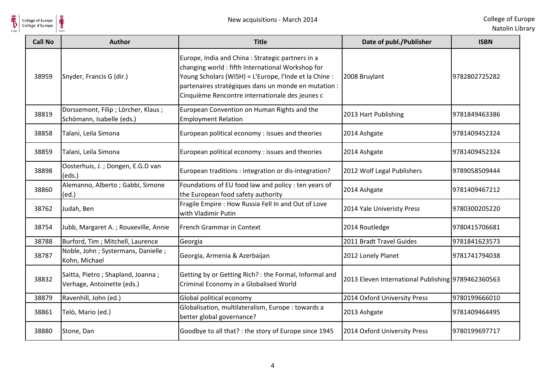

| <b>Call No</b> | <b>Author</b>                                                     | <b>Title</b>                                                                                                                                                                                                                                                               | Date of publ./Publisher                            | <b>ISBN</b>   |
|----------------|-------------------------------------------------------------------|----------------------------------------------------------------------------------------------------------------------------------------------------------------------------------------------------------------------------------------------------------------------------|----------------------------------------------------|---------------|
| 38959          | Snyder, Francis G (dir.)                                          | Europe, India and China : Strategic partners in a<br>changing world: fifth International Workshop for<br>Young Scholars (WISH) = L'Europe, l'Inde et la Chine :<br>partenaires stratégiques dans un monde en mutation :<br>Cinquième Rencontre internationale des jeunes c | 2008 Bruylant                                      | 9782802725282 |
| 38819          | Dorssemont, Filip ; Lörcher, Klaus ;<br>Schömann, Isabelle (eds.) | European Convention on Human Rights and the<br><b>Employment Relation</b>                                                                                                                                                                                                  | 2013 Hart Publishing                               | 9781849463386 |
| 38858          | Talani, Leila Simona                                              | European political economy : issues and theories                                                                                                                                                                                                                           | 2014 Ashgate                                       | 9781409452324 |
| 38859          | Talani, Leila Simona                                              | European political economy : issues and theories                                                                                                                                                                                                                           | 2014 Ashgate                                       | 9781409452324 |
| 38898          | Oosterhuis, J.; Dongen, E.G.D van<br>(eds.)                       | European traditions : integration or dis-integration?                                                                                                                                                                                                                      | 2012 Wolf Legal Publishers                         | 9789058509444 |
| 38860          | Alemanno, Alberto; Gabbi, Simone<br>(ed.)                         | Foundations of EU food law and policy : ten years of<br>the European food safety authority                                                                                                                                                                                 | 2014 Ashgate                                       | 9781409467212 |
| 38762          | Judah, Ben                                                        | Fragile Empire : How Russia Fell In and Out of Love<br>with Vladimir Putin                                                                                                                                                                                                 | 2014 Yale Univeristy Press                         | 9780300205220 |
| 38754          | Jubb, Margaret A.; Rouxeville, Annie                              | French Grammar in Context                                                                                                                                                                                                                                                  | 2014 Routledge                                     | 9780415706681 |
| 38788          | Burford, Tim ; Mitchell, Laurence                                 | Georgia                                                                                                                                                                                                                                                                    | 2011 Bradt Travel Guides                           | 9781841623573 |
| 38787          | Noble, John ; Systermans, Danielle ;<br>Kohn, Michael             | Georgia, Armenia & Azerbaijan                                                                                                                                                                                                                                              | 2012 Lonely Planet                                 | 9781741794038 |
| 38832          | Saitta, Pietro; Shapland, Joanna;<br>Verhage, Antoinette (eds.)   | Getting by or Getting Rich? : the Formal, Informal and<br>Criminal Economy in a Globalised World                                                                                                                                                                           | 2013 Eleven International Publishing 9789462360563 |               |
| 38879          | Ravenhill, John (ed.)                                             | Global political economy                                                                                                                                                                                                                                                   | 2014 Oxford University Press                       | 9780199666010 |
| 38861          | Telò, Mario (ed.)                                                 | Globalisation, multilateralism, Europe : towards a<br>better global governance?                                                                                                                                                                                            | 2013 Ashgate                                       | 9781409464495 |
| 38880          | Stone, Dan                                                        | Goodbye to all that? : the story of Europe since 1945                                                                                                                                                                                                                      | 2014 Oxford University Press                       | 9780199697717 |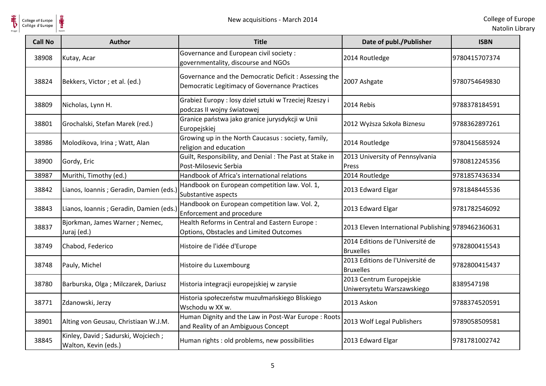

| College of Europe<br>Collège d'Europe | New acquisitions - March 2014                              |                                                                                                        |                                                        | College of Eur<br>Natolin Lib |
|---------------------------------------|------------------------------------------------------------|--------------------------------------------------------------------------------------------------------|--------------------------------------------------------|-------------------------------|
| <b>Call No</b>                        | <b>Author</b>                                              | <b>Title</b>                                                                                           | Date of publ./Publisher                                | <b>ISBN</b>                   |
| 38908                                 | Kutay, Acar                                                | Governance and European civil society:<br>governmentality, discourse and NGOs                          | 2014 Routledge                                         | 9780415707374                 |
| 38824                                 | Bekkers, Victor; et al. (ed.)                              | Governance and the Democratic Deficit : Assessing the<br>Democratic Legitimacy of Governance Practices | 2007 Ashgate                                           | 9780754649830                 |
| 38809                                 | Nicholas, Lynn H.                                          | Grabież Europy : losy dzieł sztuki w Trzeciej Rzeszy i<br>podczas II wojny światowej                   | 2014 Rebis                                             | 9788378184591                 |
| 38801                                 | Grochalski, Stefan Marek (red.)                            | Granice państwa jako granice jurysdykcji w Unii<br>Europejskiej                                        | 2012 Wyższa Szkoła Biznesu                             | 9788362897261                 |
| 38986                                 | Molodikova, Irina; Watt, Alan                              | Growing up in the North Caucasus: society, family,<br>religion and education                           | 2014 Routledge                                         | 9780415685924                 |
| 38900                                 | Gordy, Eric                                                | Guilt, Responsibility, and Denial: The Past at Stake in<br>Post-Milosevic Serbia                       | 2013 University of Pennsylvania<br>Press               | 9780812245356                 |
| 38987                                 | Murithi, Timothy (ed.)                                     | Handbook of Africa's international relations                                                           | 2014 Routledge                                         | 9781857436334                 |
| 38842                                 | Lianos, Ioannis ; Geradin, Damien (eds.)                   | Handbook on European competition law. Vol. 1,<br>Substantive aspects                                   | 2013 Edward Elgar                                      | 9781848445536                 |
| 38843                                 | Lianos, Ioannis; Geradin, Damien (eds.)                    | Handbook on European competition law. Vol. 2,<br>Enforcement and procedure                             | 2013 Edward Elgar                                      | 9781782546092                 |
| 38837                                 | Bjorkman, James Warner; Nemec,<br>Juraj (ed.)              | Health Reforms in Central and Eastern Europe :<br>Options, Obstacles and Limited Outcomes              | 2013 Eleven International Publishing 9789462360631     |                               |
| 38749                                 | Chabod, Federico                                           | Histoire de l'idée d'Europe                                                                            | 2014 Editions de l'Université de<br><b>Bruxelles</b>   | 9782800415543                 |
| 38748                                 | Pauly, Michel                                              | Histoire du Luxembourg                                                                                 | 2013 Editions de l'Université de<br><b>Bruxelles</b>   | 9782800415437                 |
| 38780                                 | Barburska, Olga; Milczarek, Dariusz                        | Historia integracji europejskiej w zarysie                                                             | 2013 Centrum Europejskie<br>Uniwersytetu Warszawskiego | 8389547198                    |
| 38771                                 | Zdanowski, Jerzy                                           | Historia społeczeństw muzułmańskiego Bliskiego<br>Wschodu w XX w.                                      | 2013 Askon                                             | 9788374520591                 |
| 38901                                 | Alting von Geusau, Christiaan W.J.M.                       | Human Dignity and the Law in Post-War Europe: Roots<br>and Reality of an Ambiguous Concept             | 2013 Wolf Legal Publishers                             | 9789058509581                 |
| 38845                                 | Kinley, David; Sadurski, Wojciech;<br>Walton, Kevin (eds.) | Human rights : old problems, new possibilities                                                         | 2013 Edward Elgar                                      | 9781781002742                 |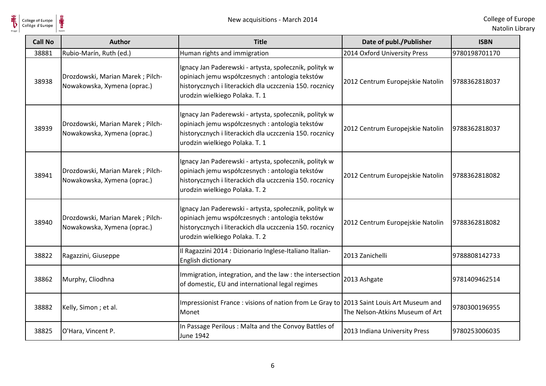

| <b>Call No</b> | <b>Author</b>                                                   | <b>Title</b>                                                                                                                                                                                           | Date of publ./Publisher          | <b>ISBN</b>   |
|----------------|-----------------------------------------------------------------|--------------------------------------------------------------------------------------------------------------------------------------------------------------------------------------------------------|----------------------------------|---------------|
| 38881          | Rubio-Marín, Ruth (ed.)                                         | Human rights and immigration                                                                                                                                                                           | 2014 Oxford University Press     | 9780198701170 |
| 38938          | Drozdowski, Marian Marek; Pilch-<br>Nowakowska, Xymena (oprac.) | Ignacy Jan Paderewski - artysta, społecznik, polityk w<br>opiniach jemu współczesnych : antologia tekstów<br>historycznych i literackich dla uczczenia 150. rocznicy<br>urodzin wielkiego Polaka. T. 1 | 2012 Centrum Europejskie Natolin | 9788362818037 |
| 38939          | Drozdowski, Marian Marek; Pilch-<br>Nowakowska, Xymena (oprac.) | Ignacy Jan Paderewski - artysta, społecznik, polityk w<br>opiniach jemu współczesnych : antologia tekstów<br>historycznych i literackich dla uczczenia 150. rocznicy<br>urodzin wielkiego Polaka. T. 1 | 2012 Centrum Europejskie Natolin | 9788362818037 |
| 38941          | Drozdowski, Marian Marek; Pilch-<br>Nowakowska, Xymena (oprac.) | Ignacy Jan Paderewski - artysta, społecznik, polityk w<br>opiniach jemu współczesnych : antologia tekstów<br>historycznych i literackich dla uczczenia 150. rocznicy<br>urodzin wielkiego Polaka. T. 2 | 2012 Centrum Europejskie Natolin | 9788362818082 |
| 38940          | Drozdowski, Marian Marek; Pilch-<br>Nowakowska, Xymena (oprac.) | Ignacy Jan Paderewski - artysta, społecznik, polityk w<br>opiniach jemu współczesnych : antologia tekstów<br>historycznych i literackich dla uczczenia 150. rocznicy<br>urodzin wielkiego Polaka. T. 2 | 2012 Centrum Europejskie Natolin | 9788362818082 |
| 38822          | Ragazzini, Giuseppe                                             | Il Ragazzini 2014 : Dizionario Inglese-Italiano Italian-<br>English dictionary                                                                                                                         | 2013 Zanichelli                  | 9788808142733 |
| 38862          | Murphy, Cliodhna                                                | Immigration, integration, and the law : the intersection<br>of domestic, EU and international legal regimes                                                                                            | 2013 Ashgate                     | 9781409462514 |
| 38882          | Kelly, Simon; et al.                                            | Impressionist France: visions of nation from Le Gray to 2013 Saint Louis Art Museum and<br>Monet                                                                                                       | The Nelson-Atkins Museum of Art  | 9780300196955 |
| 38825          | O'Hara, Vincent P.                                              | In Passage Perilous: Malta and the Convoy Battles of<br><b>June 1942</b>                                                                                                                               | 2013 Indiana University Press    | 9780253006035 |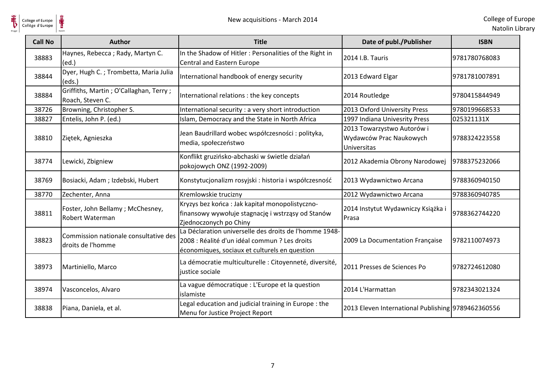

| <b>Call No</b> | <b>Author</b>                                              | <b>Title</b>                                                                                                                                             | Date of publ./Publisher                                              | <b>ISBN</b>   |
|----------------|------------------------------------------------------------|----------------------------------------------------------------------------------------------------------------------------------------------------------|----------------------------------------------------------------------|---------------|
| 38883          | Haynes, Rebecca; Rady, Martyn C.<br>(ed.)                  | In the Shadow of Hitler: Personalities of the Right in<br>Central and Eastern Europe                                                                     | 2014 I.B. Tauris                                                     | 9781780768083 |
| 38844          | Dyer, Hugh C.; Trombetta, Maria Julia<br>(eds.)            | International handbook of energy security                                                                                                                | 2013 Edward Elgar                                                    | 9781781007891 |
| 38884          | Griffiths, Martin; O'Callaghan, Terry;<br>Roach, Steven C. | International relations : the key concepts                                                                                                               | 2014 Routledge                                                       | 9780415844949 |
| 38726          | Browning, Christopher S.                                   | International security : a very short introduction                                                                                                       | 2013 Oxford University Press                                         | 9780199668533 |
| 38827          | Entelis, John P. (ed.)                                     | Islam, Democracy and the State in North Africa                                                                                                           | 1997 Indiana Univesrity Press                                        | 025321131X    |
| 38810          | Ziętek, Agnieszka                                          | Jean Baudrillard wobec współczesności : polityka,<br>media, społeczeństwo                                                                                | 2013 Towarzystwo Autorów i<br>Wydawców Prac Naukowych<br>Universitas | 9788324223558 |
| 38774          | Lewicki, Zbigniew                                          | Konflikt gruzińsko-abchaski w świetle działań<br>pokojowych ONZ (1992-2009)                                                                              | 2012 Akademia Obrony Narodowej                                       | 9788375232066 |
| 38769          | Bosiacki, Adam; Izdebski, Hubert                           | Konstytucjonalizm rosyjski : historia i współczesność                                                                                                    | 2013 Wydawnictwo Arcana                                              | 9788360940150 |
| 38770          | Zechenter, Anna                                            | Kremlowskie trucizny                                                                                                                                     | 2012 Wydawnictwo Arcana                                              | 9788360940785 |
| 38811          | Foster, John Bellamy; McChesney,<br>Robert Waterman        | Kryzys bez końca : Jak kapitał monopolistyczno-<br>finansowy wywołuje stagnację i wstrząsy od Stanów<br>Zjednoczonych po Chiny                           | 2014 Instytut Wydawniczy Książka i<br>Prasa                          | 9788362744220 |
| 38823          | Commission nationale consultative des<br>droits de l'homme | La Déclaration universelle des droits de l'homme 1948-<br>2008 : Réalité d'un idéal commun ? Les droits<br>économiques, sociaux et culturels en question | 2009 La Documentation Française                                      | 9782110074973 |
| 38973          | Martiniello, Marco                                         | La démocratie multiculturelle : Citoyenneté, diversité,<br>justice sociale                                                                               | 2011 Presses de Sciences Po                                          | 9782724612080 |
| 38974          | Vasconcelos, Alvaro                                        | La vague démocratique : L'Europe et la question<br>islamiste                                                                                             | 2014 L'Harmattan                                                     | 9782343021324 |
| 38838          | Piana, Daniela, et al.                                     | Legal education and judicial training in Europe: the<br>Menu for Justice Project Report                                                                  | 2013 Eleven International Publishing 9789462360556                   |               |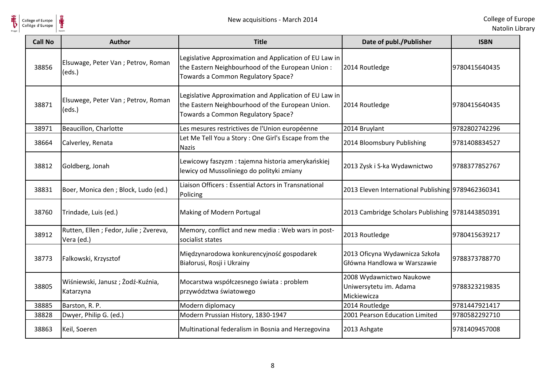

| <b>Call No</b> | Author                                                | <b>Title</b>                                                                                                                                      | Date of publ./Publisher                                           | <b>ISBN</b>   |
|----------------|-------------------------------------------------------|---------------------------------------------------------------------------------------------------------------------------------------------------|-------------------------------------------------------------------|---------------|
| 38856          | Elsuwage, Peter Van ; Petrov, Roman<br>(eds.)         | Legislative Approximation and Application of EU Law in<br>the Eastern Neighbourhood of the European Union :<br>Towards a Common Regulatory Space? | 2014 Routledge                                                    | 9780415640435 |
| 38871          | Elsuwege, Peter Van ; Petrov, Roman<br>(eds.)         | Legislative Approximation and Application of EU Law in<br>the Eastern Neighbourhood of the European Union.<br>Towards a Common Regulatory Space?  | 2014 Routledge                                                    | 9780415640435 |
| 38971          | Beaucillon, Charlotte                                 | Les mesures restrictives de l'Union européenne                                                                                                    | 2014 Bruylant                                                     | 9782802742296 |
| 38664          | Calverley, Renata                                     | Let Me Tell You a Story: One Girl's Escape from the<br><b>Nazis</b>                                                                               | 2014 Bloomsbury Publishing                                        | 9781408834527 |
| 38812          | Goldberg, Jonah                                       | Lewicowy faszyzm : tajemna historia amerykańskiej<br>lewicy od Mussoliniego do polityki zmiany                                                    | 2013 Zysk i S-ka Wydawnictwo                                      | 9788377852767 |
| 38831          | Boer, Monica den ; Block, Ludo (ed.)                  | Liaison Officers: Essential Actors in Transnational<br>Policing                                                                                   | 2013 Eleven International Publishing 9789462360341                |               |
| 38760          | Trindade, Luis (ed.)                                  | Making of Modern Portugal                                                                                                                         | 2013 Cambridge Scholars Publishing 9781443850391                  |               |
| 38912          | Rutten, Ellen ; Fedor, Julie ; Zvereva,<br>Vera (ed.) | Memory, conflict and new media : Web wars in post-<br>socialist states                                                                            | 2013 Routledge                                                    | 9780415639217 |
| 38773          | Falkowski, Krzysztof                                  | Międzynarodowa konkurencyjność gospodarek<br>Białorusi, Rosji i Ukrainy                                                                           | 2013 Oficyna Wydawnicza Szkoła<br>Główna Handlowa w Warszawie     | 9788373788770 |
| 38805          | Wiśniewski, Janusz; Żodź-Kuźnia,<br>Katarzyna         | Mocarstwa współczesnego świata: problem<br>przywództwa światowego                                                                                 | 2008 Wydawnictwo Naukowe<br>Uniwersytetu im. Adama<br>Mickiewicza | 9788323219835 |
| 38885          | Barston, R. P.                                        | Modern diplomacy                                                                                                                                  | 2014 Routledge                                                    | 9781447921417 |
| 38828          | Dwyer, Philip G. (ed.)                                | Modern Prussian History, 1830-1947                                                                                                                | 2001 Pearson Education Limited                                    | 9780582292710 |
| 38863          | Keil, Soeren                                          | Multinational federalism in Bosnia and Herzegovina                                                                                                | 2013 Ashgate                                                      | 9781409457008 |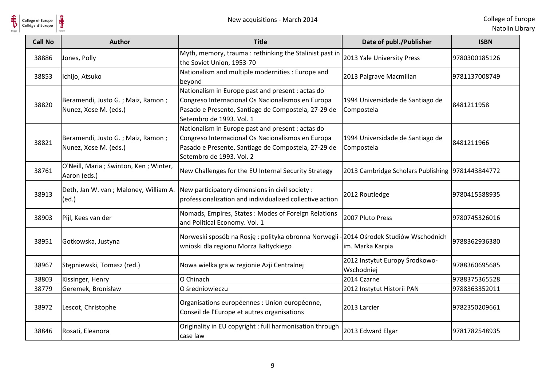

| <b>Call No</b> | <b>Author</b>                                              | <b>Title</b>                                                                                                                                                                              | Date of publ./Publisher                             | <b>ISBN</b>   |
|----------------|------------------------------------------------------------|-------------------------------------------------------------------------------------------------------------------------------------------------------------------------------------------|-----------------------------------------------------|---------------|
| 38886          | Jones, Polly                                               | Myth, memory, trauma: rethinking the Stalinist past in<br>the Soviet Union, 1953-70                                                                                                       | 2013 Yale University Press                          | 9780300185126 |
| 38853          | Ichijo, Atsuko                                             | Nationalism and multiple modernities : Europe and<br>beyond                                                                                                                               | 2013 Palgrave Macmillan                             | 9781137008749 |
| 38820          | Beramendi, Justo G.; Maiz, Ramon;<br>Nunez, Xose M. (eds.) | Nationalism in Europe past and present : actas do<br>Congreso Internacional Os Nacionalismos en Europa<br>Pasado e Presente, Santiage de Compostela, 27-29 de<br>Setembro de 1993. Vol. 1 | 1994 Universidade de Santiago de<br>Compostela      | 8481211958    |
| 38821          | Beramendi, Justo G.; Maiz, Ramon;<br>Nunez, Xose M. (eds.) | Nationalism in Europe past and present : actas do<br>Congreso Internacional Os Nacionalismos en Europa<br>Pasado e Presente, Santiage de Compostela, 27-29 de<br>Setembro de 1993. Vol. 2 | 1994 Universidade de Santiago de<br>Compostela      | 8481211966    |
| 38761          | O'Neill, Maria ; Swinton, Ken ; Winter,<br>Aaron (eds.)    | New Challenges for the EU Internal Security Strategy                                                                                                                                      | 2013 Cambridge Scholars Publishing 9781443844772    |               |
| 38913          | Deth, Jan W. van; Maloney, William A.<br>(ed.)             | New participatory dimensions in civil society :<br>professionalization and individualized collective action                                                                               | 2012 Routledge                                      | 9780415588935 |
| 38903          | Pijl, Kees van der                                         | Nomads, Empires, States: Modes of Foreign Relations<br>and Political Economy. Vol. 1                                                                                                      | 2007 Pluto Press                                    | 9780745326016 |
| 38951          | Gotkowska, Justyna                                         | Norweski sposób na Rosję: polityka obronna Norwegii<br>wnioski dla regionu Morza Bałtyckiego                                                                                              | 2014 Ośrodek Studiów Wschodnich<br>im. Marka Karpia | 9788362936380 |
| 38967          | Stępniewski, Tomasz (red.)                                 | Nowa wielka gra w regionie Azji Centralnej                                                                                                                                                | 2012 Instytut Europy Środkowo-<br>Wschodniej        | 9788360695685 |
| 38803          | Kissinger, Henry                                           | O Chinach                                                                                                                                                                                 | 2014 Czarne                                         | 9788375365528 |
| 38779          | Geremek, Bronisław                                         | O średniowieczu                                                                                                                                                                           | 2012 Instytut Historii PAN                          | 9788363352011 |
| 38972          | Lescot, Christophe                                         | Organisations européennes : Union européenne,<br>Conseil de l'Europe et autres organisations                                                                                              | 2013 Larcier                                        | 9782350209661 |
| 38846          | Rosati, Eleanora                                           | Originality in EU copyright : full harmonisation through<br>case law                                                                                                                      | 2013 Edward Elgar                                   | 9781782548935 |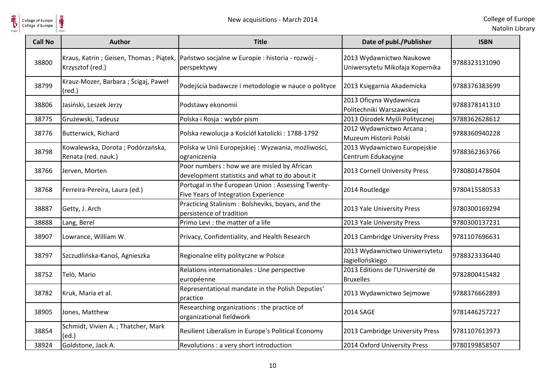

| College of Europe<br>Collège d'Europe | ⋕                                                          | New acquisitions - March 2014                                                                 |                                                             | College of Eur<br>Natolin Lib |
|---------------------------------------|------------------------------------------------------------|-----------------------------------------------------------------------------------------------|-------------------------------------------------------------|-------------------------------|
| <b>Call No</b>                        | <b>Author</b>                                              | <b>Title</b>                                                                                  | Date of publ./Publisher                                     | <b>ISBN</b>                   |
| 38800                                 | Kraus, Katrin; Geisen, Thomas; Piatek,<br>Krzysztof (red.) | Państwo socjalne w Europie: historia - rozwój -<br>perspektywy                                | 2013 Wydawnictwo Naukowe<br>Uniwersytetu Mikołaja Kopernika | 9788323131090                 |
| 38799                                 | Krauz-Mozer, Barbara ; Ścigaj, Paweł<br>$(\text{red.})$    | Podejścia badawcze i metodologie w nauce o polityce                                           | 2013 Księgarnia Akademicka                                  | 9788376383699                 |
| 38806                                 | Jasiński, Leszek Jerzy                                     | Podstawy ekonomii                                                                             | 2013 Oficyna Wydawnicza<br>Politechniki Warszawskiej        | 9788378141310                 |
| 38775                                 | Grużewski, Tadeusz                                         | Polska i Rosja: wybór pism                                                                    | 2013 Ośrodek Myśli Politycznej                              | 9788362628612                 |
| 38776                                 | Butterwick, Richard                                        | Polska rewolucja a Kościół katolicki: 1788-1792                                               | 2012 Wydawnictwo Arcana;<br>Muzeum Historii Polski          | 9788360940228                 |
| 38798                                 | Kowalewska, Dorota; Podórzańska,<br>Renata (red. nauk.)    | Polska w Unii Europejskiej: Wyzwania, możliwości,<br>ograniczenia                             | 2013 Wydawnictwo Europejskie<br>Centrum Edukacyjne          | 9788362363766                 |
| 38766                                 | Jerven, Morten                                             | Poor numbers : how we are misled by African<br>development statistics and what to do about it | 2013 Cornell University Press                               | 9780801478604                 |
| 38768                                 | Ferreira-Pereira, Laura (ed.)                              | Portugal in the European Union : Assessing Twenty-<br>Five Years of Integration Experience    | 2014 Routledge                                              | 9780415580533                 |
| 38887                                 | Getty, J. Arch                                             | Practicing Stalinism : Bolsheviks, boyars, and the<br>persistence of tradition                | 2013 Yale University Press                                  | 9780300169294                 |
| 38888                                 | Lang, Berel                                                | Primo Levi : the matter of a life                                                             | 2013 Yale University Press                                  | 9780300137231                 |
| 38907                                 | Lowrance, William W.                                       | Privacy, Confidentiality, and Health Research                                                 | 2013 Cambridge University Press                             | 9781107696631                 |
| 38797                                 | Szczudlińska-Kanoś, Agnieszka                              | Regionalne elity polityczne w Polsce                                                          | 2013 Wydawnictwo Uniwersytetu<br>Jagiellońskiego            | 9788323336440                 |
| 38752                                 | Telò, Mario                                                | Relations internationales : Une perspective<br>européenne                                     | 2013 Editions de l'Université de<br><b>Bruxelles</b>        | 9782800415482                 |
| 38782                                 | Kruk, Maria et al.                                         | Representational mandate in the Polish Deputies'<br>practice                                  | 2013 Wydawnictwo Sejmowe                                    | 9788376662893                 |
| 38905                                 | Jones, Matthew                                             | Researching organizations : the practice of<br>organizational fieldwork                       | <b>2014 SAGE</b>                                            | 9781446257227                 |
| 38854                                 | Schmidt, Vivien A.; Thatcher, Mark<br>(ed.)                | Resilient Liberalism in Europe's Political Economy                                            | 2013 Cambridge University Press                             | 9781107613973                 |
| 38924                                 | Goldstone, Jack A.                                         | Revolutions : a very short introduction                                                       | 2014 Oxford University Press                                | 9780199858507                 |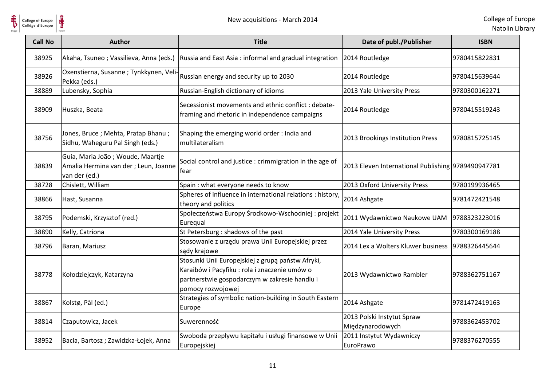

| <b>Call No</b> | <b>Author</b>                                                                              | <b>Title</b>                                                                                                                                                             | Date of publ./Publisher                            | <b>ISBN</b>   |
|----------------|--------------------------------------------------------------------------------------------|--------------------------------------------------------------------------------------------------------------------------------------------------------------------------|----------------------------------------------------|---------------|
| 38925          | Akaha, Tsuneo; Vassilieva, Anna (eds.)                                                     | Russia and East Asia: informal and gradual integration                                                                                                                   | 2014 Routledge                                     | 9780415822831 |
| 38926          | Oxenstierna, Susanne; Tynkkynen, Veli-<br>Pekka (eds.)                                     | Russian energy and security up to 2030                                                                                                                                   | 2014 Routledge                                     | 9780415639644 |
| 38889          | Lubensky, Sophia                                                                           | Russian-English dictionary of idioms                                                                                                                                     | 2013 Yale University Press                         | 9780300162271 |
| 38909          | Huszka, Beata                                                                              | Secessionist movements and ethnic conflict : debate-<br>framing and rhetoric in independence campaigns                                                                   | 2014 Routledge                                     | 9780415519243 |
| 38756          | Jones, Bruce; Mehta, Pratap Bhanu;<br>Sidhu, Waheguru Pal Singh (eds.)                     | Shaping the emerging world order: India and<br>multilateralism                                                                                                           | 2013 Brookings Institution Press                   | 9780815725145 |
| 38839          | Guia, Maria João; Woude, Maartje<br>Amalia Hermina van der ; Leun, Joanne<br>van der (ed.) | Social control and justice : crimmigration in the age of<br>fear                                                                                                         | 2013 Eleven International Publishing 9789490947781 |               |
| 38728          | Chislett, William                                                                          | Spain : what everyone needs to know                                                                                                                                      | 2013 Oxford University Press                       | 9780199936465 |
| 38866          | Hast, Susanna                                                                              | Spheres of influence in international relations : history,<br>theory and politics                                                                                        | 2014 Ashgate                                       | 9781472421548 |
| 38795          | Podemski, Krzysztof (red.)                                                                 | Społeczeństwa Europy Środkowo-Wschodniej: projekt<br>Eurequal                                                                                                            | 2011 Wydawnictwo Naukowe UAM                       | 9788323223016 |
| 38890          | Kelly, Catriona                                                                            | St Petersburg : shadows of the past                                                                                                                                      | 2014 Yale University Press                         | 9780300169188 |
| 38796          | Baran, Mariusz                                                                             | Stosowanie z urzędu prawa Unii Europejskiej przez<br>sądy krajowe                                                                                                        | 2014 Lex a Wolters Kluwer business                 | 9788326445644 |
| 38778          | Kołodziejczyk, Katarzyna                                                                   | Stosunki Unii Europejskiej z grupą państw Afryki,<br>Karaibów i Pacyfiku : rola i znaczenie umów o<br>partnerstwie gospodarczym w zakresie handlu i<br>pomocy rozwojowej | 2013 Wydawnictwo Rambler                           | 9788362751167 |
| 38867          | Kolstø, Pål (ed.)                                                                          | Strategies of symbolic nation-building in South Eastern<br>Europe                                                                                                        | 2014 Ashgate                                       | 9781472419163 |
| 38814          | Czaputowicz, Jacek                                                                         | Suwerenność                                                                                                                                                              | 2013 Polski Instytut Spraw<br>Międzynarodowych     | 9788362453702 |
| 38952          | Bacia, Bartosz; Zawidzka-Łojek, Anna                                                       | Swoboda przepływu kapitału i usługi finansowe w Unii<br>Europejskiej                                                                                                     | 2011 Instytut Wydawniczy<br>EuroPrawo              | 9788376270555 |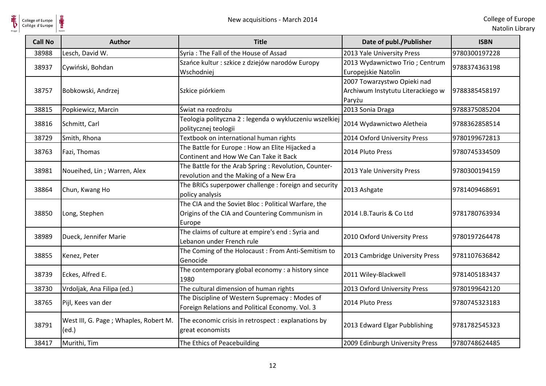

| <b>Call No</b> | <b>Author</b>                                  | <b>Title</b>                                                                                                     | Date of publ./Publisher                                                    | <b>ISBN</b>   |
|----------------|------------------------------------------------|------------------------------------------------------------------------------------------------------------------|----------------------------------------------------------------------------|---------------|
| 38988          | Lesch, David W.                                | Syria: The Fall of the House of Assad                                                                            | 2013 Yale University Press                                                 | 9780300197228 |
| 38937          | Cywiński, Bohdan                               | Szańce kultur : szkice z dziejów narodów Europy<br>Wschodniej                                                    | 2013 Wydawnictwo Trio; Centrum<br>Europejskie Natolin                      | 9788374363198 |
| 38757          | Bobkowski, Andrzej                             | Szkice piórkiem                                                                                                  | 2007 Towarzystwo Opieki nad<br>Archiwum Instytutu Literackiego w<br>Paryżu | 9788385458197 |
| 38815          | Popkiewicz, Marcin                             | Świat na rozdrożu                                                                                                | 2013 Sonia Draga                                                           | 9788375085204 |
| 38816          | Schmitt, Carl                                  | Teologia polityczna 2 : legenda o wykluczeniu wszelkiej<br>politycznej teologii                                  | 2014 Wydawnictwo Aletheia                                                  | 9788362858514 |
| 38729          | Smith, Rhona                                   | Textbook on international human rights                                                                           | 2014 Oxford University Press                                               | 9780199672813 |
| 38763          | Fazi, Thomas                                   | The Battle for Europe: How an Elite Hijacked a<br>Continent and How We Can Take it Back                          | 2014 Pluto Press                                                           | 9780745334509 |
| 38981          | Noueihed, Lin; Warren, Alex                    | The Battle for the Arab Spring : Revolution, Counter-<br>revolution and the Making of a New Era                  | 2013 Yale University Press                                                 | 9780300194159 |
| 38864          | Chun, Kwang Ho                                 | The BRICs superpower challenge : foreign and security<br>policy analysis                                         | 2013 Ashgate                                                               | 9781409468691 |
| 38850          | Long, Stephen                                  | The CIA and the Soviet Bloc : Political Warfare, the<br>Origins of the CIA and Countering Communism in<br>Europe | 2014 I.B.Tauris & Co Ltd                                                   | 9781780763934 |
| 38989          | Dueck, Jennifer Marie                          | The claims of culture at empire's end : Syria and<br>Lebanon under French rule                                   | 2010 Oxford University Press                                               | 9780197264478 |
| 38855          | Kenez, Peter                                   | The Coming of the Holocaust: From Anti-Semitism to<br>Genocide                                                   | 2013 Cambridge University Press                                            | 9781107636842 |
| 38739          | Eckes, Alfred E.                               | The contemporary global economy : a history since<br>1980                                                        | 2011 Wiley-Blackwell                                                       | 9781405183437 |
| 38730          | Vrdoljak, Ana Filipa (ed.)                     | The cultural dimension of human rights                                                                           | 2013 Oxford University Press                                               | 9780199642120 |
| 38765          | Pijl, Kees van der                             | The Discipline of Western Supremacy: Modes of<br>Foreign Relations and Political Economy. Vol. 3                 | 2014 Pluto Press                                                           | 9780745323183 |
| 38791          | West III, G. Page; Whaples, Robert M.<br>(ed.) | The economic crisis in retrospect : explanations by<br>great economists                                          | 2013 Edward Elgar Pubblishing                                              | 9781782545323 |
| 38417          | Murithi, Tim                                   | The Ethics of Peacebuilding                                                                                      | 2009 Edinburgh University Press                                            | 9780748624485 |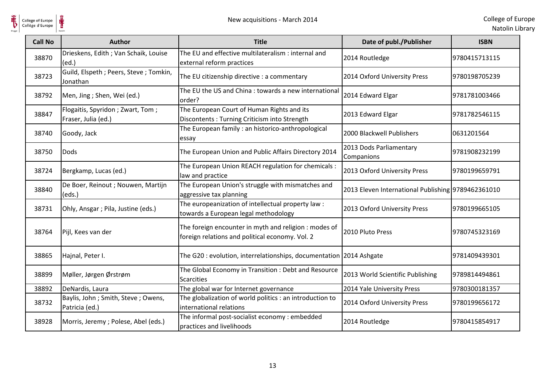

| College of Europe<br>Collège d'Europe | New acquisitions - March 2014                           |                                                                                                         |                                                    | College of Eur<br>Natolin Lib |
|---------------------------------------|---------------------------------------------------------|---------------------------------------------------------------------------------------------------------|----------------------------------------------------|-------------------------------|
| <b>Call No</b>                        | <b>Author</b>                                           | <b>Title</b>                                                                                            | Date of publ./Publisher                            | <b>ISBN</b>                   |
| 38870                                 | Drieskens, Edith ; Van Schaik, Louise<br>(ed.)          | The EU and effective multilateralism : internal and<br>external reform practices                        | 2014 Routledge                                     | 9780415713115                 |
| 38723                                 | Guild, Elspeth ; Peers, Steve ; Tomkin,<br>Jonathan     | The EU citizenship directive : a commentary                                                             | 2014 Oxford University Press                       | 9780198705239                 |
| 38792                                 | Men, Jing ; Shen, Wei (ed.)                             | The EU the US and China: towards a new international<br>order?                                          | 2014 Edward Elgar                                  | 9781781003466                 |
| 38847                                 | Flogaitis, Spyridon; Zwart, Tom;<br>Fraser, Julia (ed.) | The European Court of Human Rights and its<br>Discontents : Turning Criticism into Strength             | 2013 Edward Elgar                                  | 9781782546115                 |
| 38740                                 | Goody, Jack                                             | The European family : an historico-anthropological<br>essay                                             | 2000 Blackwell Publishers                          | 0631201564                    |
| 38750                                 | <b>Dods</b>                                             | The European Union and Public Affairs Directory 2014                                                    | 2013 Dods Parliamentary<br>Companions              | 9781908232199                 |
| 38724                                 | Bergkamp, Lucas (ed.)                                   | The European Union REACH regulation for chemicals :<br>law and practice                                 | 2013 Oxford University Press                       | 9780199659791                 |
| 38840                                 | De Boer, Reinout ; Nouwen, Martijn<br>(eds.)            | The European Union's struggle with mismatches and<br>aggressive tax planning                            | 2013 Eleven International Publishing 9789462361010 |                               |
| 38731                                 | Ohly, Ansgar ; Pila, Justine (eds.)                     | The europeanization of intellectual property law :<br>towards a European legal methodology              | 2013 Oxford University Press                       | 9780199665105                 |
| 38764                                 | Pijl, Kees van der                                      | The foreign encounter in myth and religion: modes of<br>foreign relations and political economy. Vol. 2 | 2010 Pluto Press                                   | 9780745323169                 |
| 38865                                 | Hajnal, Peter I.                                        | The G20: evolution, interrelationships, documentation 2014 Ashgate                                      |                                                    | 9781409439301                 |
| 38899                                 | Møller, Jørgen Ørstrøm                                  | The Global Economy in Transition: Debt and Resource<br><b>Scarcities</b>                                | 2013 World Scientific Publishing                   | 9789814494861                 |
| 38892                                 | DeNardis, Laura                                         | The global war for Internet governance                                                                  | 2014 Yale University Press                         | 9780300181357                 |
| 38732                                 | Baylis, John; Smith, Steve; Owens,<br>Patricia (ed.)    | The globalization of world politics : an introduction to<br>international relations                     | 2014 Oxford University Press                       | 9780199656172                 |
| 38928                                 | Morris, Jeremy; Polese, Abel (eds.)                     | The informal post-socialist economy : embedded<br>practices and livelihoods                             | 2014 Routledge                                     | 9780415854917                 |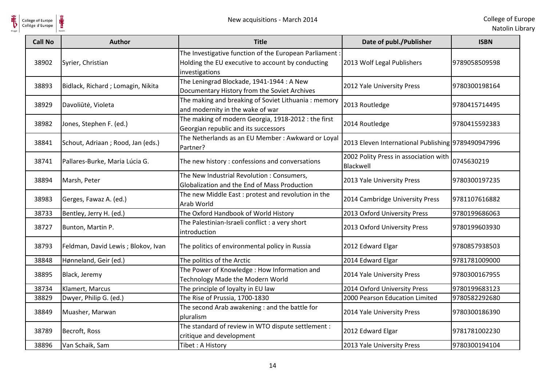

| <b>Call No</b> | <b>Author</b>                      | <b>Title</b>                                                                                                                  | Date of publ./Publisher                            | <b>ISBN</b>   |
|----------------|------------------------------------|-------------------------------------------------------------------------------------------------------------------------------|----------------------------------------------------|---------------|
| 38902          | Syrier, Christian                  | The Investigative function of the European Parliament:<br>Holding the EU executive to account by conducting<br>investigations | 2013 Wolf Legal Publishers                         | 9789058509598 |
| 38893          | Bidlack, Richard; Lomagin, Nikita  | The Leningrad Blockade, 1941-1944 : A New<br>Documentary History from the Soviet Archives                                     | 2012 Yale University Press                         | 9780300198164 |
| 38929          | Davoliūtė, Violeta                 | The making and breaking of Soviet Lithuania: memory<br>and modernity in the wake of war                                       | 2013 Routledge                                     | 9780415714495 |
| 38982          | Jones, Stephen F. (ed.)            | The making of modern Georgia, 1918-2012 : the first<br>Georgian republic and its successors                                   | 2014 Routledge                                     | 9780415592383 |
| 38841          | Schout, Adriaan; Rood, Jan (eds.)  | The Netherlands as an EU Member : Awkward or Loyal<br>Partner?                                                                | 2013 Eleven International Publishing 9789490947996 |               |
| 38741          | Pallares-Burke, Maria Lúcia G.     | The new history : confessions and conversations                                                                               | 2002 Polity Press in association with<br>Blackwell | 0745630219    |
| 38894          | Marsh, Peter                       | The New Industrial Revolution : Consumers,<br>Globalization and the End of Mass Production                                    | 2013 Yale University Press                         | 9780300197235 |
| 38983          | Gerges, Fawaz A. (ed.)             | The new Middle East: protest and revolution in the<br>Arab World                                                              | 2014 Cambridge University Press                    | 9781107616882 |
| 38733          | Bentley, Jerry H. (ed.)            | The Oxford Handbook of World History                                                                                          | 2013 Oxford University Press                       | 9780199686063 |
| 38727          | Bunton, Martin P.                  | The Palestinian-Israeli conflict : a very short<br>introduction                                                               | 2013 Oxford University Press                       | 9780199603930 |
| 38793          | Feldman, David Lewis; Blokov, Ivan | The politics of environmental policy in Russia                                                                                | 2012 Edward Elgar                                  | 9780857938503 |
| 38848          | Hønneland, Geir (ed.)              | The politics of the Arctic                                                                                                    | 2014 Edward Elgar                                  | 9781781009000 |
| 38895          | Black, Jeremy                      | The Power of Knowledge: How Information and<br>Technology Made the Modern World                                               | 2014 Yale University Press                         | 9780300167955 |
| 38734          | Klamert, Marcus                    | The principle of loyalty in EU law                                                                                            | 2014 Oxford University Press                       | 9780199683123 |
| 38829          | Dwyer, Philip G. (ed.)             | The Rise of Prussia, 1700-1830                                                                                                | 2000 Pearson Education Limited                     | 9780582292680 |
| 38849          | Muasher, Marwan                    | The second Arab awakening : and the battle for<br>pluralism                                                                   | 2014 Yale University Press                         | 9780300186390 |
| 38789          | Becroft, Ross                      | The standard of review in WTO dispute settlement :<br>critique and development                                                | 2012 Edward Elgar                                  | 9781781002230 |
| 38896          | Van Schaik, Sam                    | Tibet: A History                                                                                                              | 2013 Yale University Press                         | 9780300194104 |